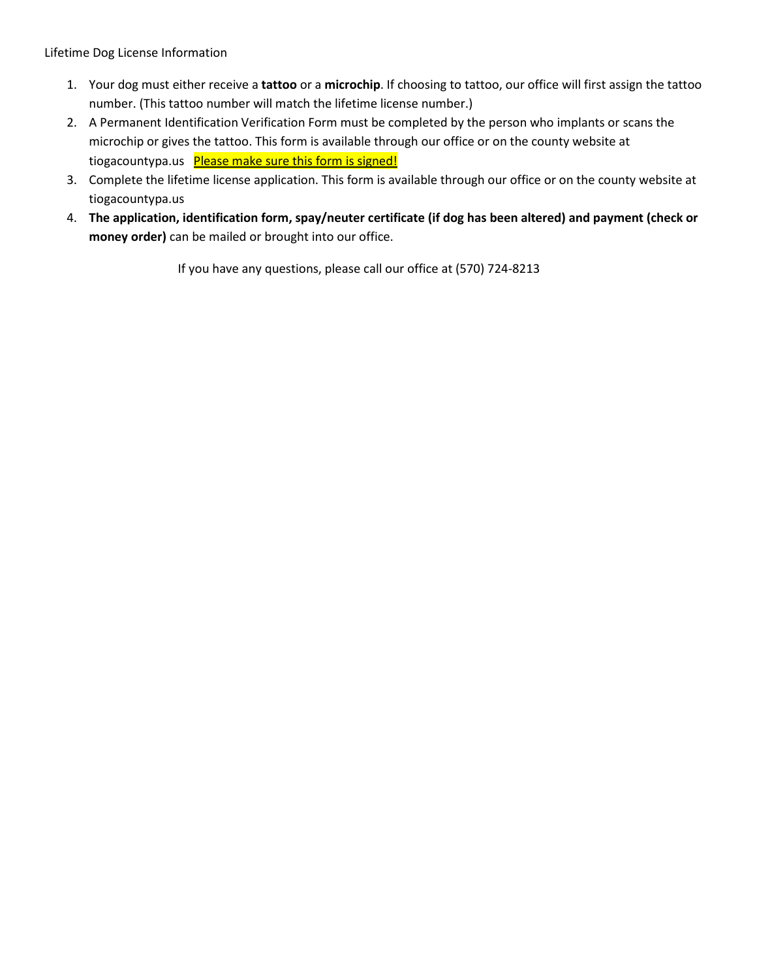Lifetime Dog License Information

- 1. Your dog must either receive a **tattoo** or a **microchip**. If choosing to tattoo, our office will first assign the tattoo number. (This tattoo number will match the lifetime license number.)
- 2. A Permanent Identification Verification Form must be completed by the person who implants or scans the microchip or gives the tattoo. This form is available through our office or on the county website at tiogacountypa.us Please make sure this form is signed!
- 3. Complete the lifetime license application. This form is available through our office or on the county website at tiogacountypa.us
- 4. **The application, identification form, spay/neuter certificate (if dog has been altered) and payment (check or money order)** can be mailed or brought into our office.

If you have any questions, please call our office at (570) 724-8213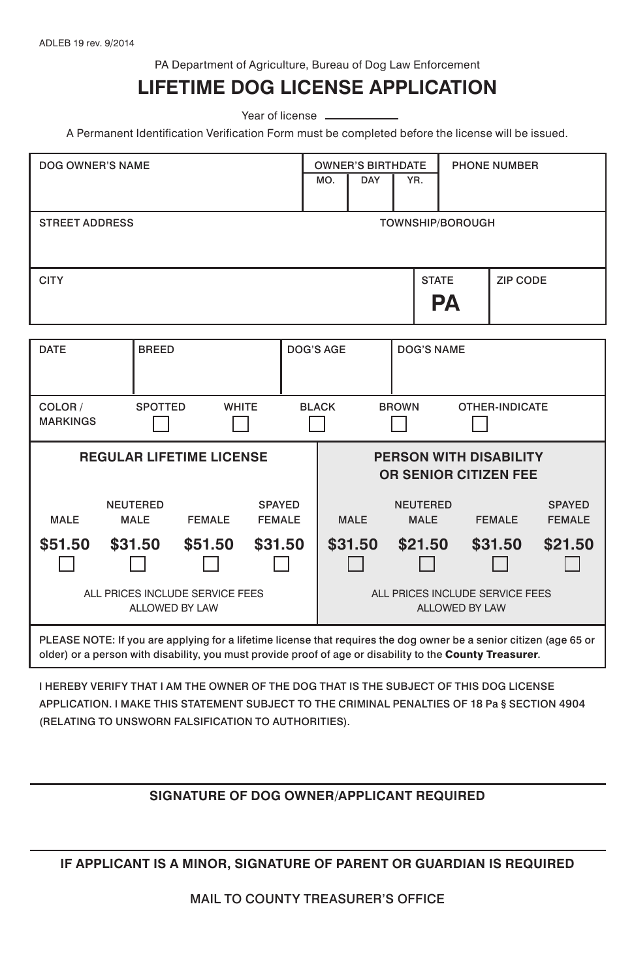PA Department of Agriculture, Bureau of Dog Law Enforcement

## **LIFETIME DOG LICENSE APPLICATION**

Year of license -

A Permanent Identification Verification Form must be completed before the license will be issued.

| DOG OWNER'S NAME                                                                                                                                                                                                               |                                |                |                                |  |                                                          | <b>OWNER'S BIRTHDATE</b><br><b>DAY</b> | YR.                            | <b>PHONE NUMBER</b> |               |                                |
|--------------------------------------------------------------------------------------------------------------------------------------------------------------------------------------------------------------------------------|--------------------------------|----------------|--------------------------------|--|----------------------------------------------------------|----------------------------------------|--------------------------------|---------------------|---------------|--------------------------------|
| <b>STREET ADDRESS</b><br><b>TOWNSHIP/BOROUGH</b>                                                                                                                                                                               |                                |                |                                |  |                                                          |                                        |                                |                     |               |                                |
| <b>CITY</b>                                                                                                                                                                                                                    |                                |                |                                |  |                                                          |                                        | <b>STATE</b><br>ZIP CODE<br>PА |                     |               |                                |
| <b>DATE</b>                                                                                                                                                                                                                    | <b>BREED</b>                   |                |                                |  | DOG'S AGE                                                |                                        | DOG'S NAME                     |                     |               |                                |
| COLOR /<br><b>MARKINGS</b>                                                                                                                                                                                                     |                                | <b>SPOTTED</b> | <b>WHITE</b>                   |  | <b>BLACK</b><br><b>BROWN</b><br>OTHER-INDICATE           |                                        |                                |                     |               |                                |
| <b>REGULAR LIFETIME LICENSE</b>                                                                                                                                                                                                |                                |                |                                |  | PERSON WITH DISABILITY<br><b>OR SENIOR CITIZEN FEE</b>   |                                        |                                |                     |               |                                |
| <b>MALE</b>                                                                                                                                                                                                                    | <b>NEUTERED</b><br><b>MALE</b> | <b>FEMALE</b>  | <b>SPAYED</b><br><b>FEMALE</b> |  |                                                          | <b>MALE</b>                            | <b>NEUTERED</b><br><b>MALE</b> |                     | <b>FEMALE</b> | <b>SPAYED</b><br><b>FEMALE</b> |
| \$51.50                                                                                                                                                                                                                        | \$31.50                        | \$51.50        | \$31.50                        |  |                                                          | \$31.50                                | \$21.50                        |                     | \$31.50       | \$21.50                        |
| ALL PRICES INCLUDE SERVICE FEES<br>ALLOWED BY LAW                                                                                                                                                                              |                                |                |                                |  | ALL PRICES INCLUDE SERVICE FEES<br><b>ALLOWED BY LAW</b> |                                        |                                |                     |               |                                |
| PLEASE NOTE: If you are applying for a lifetime license that requires the dog owner be a senior citizen (age 65 or<br>older) or a person with disability, you must provide proof of age or disability to the County Treasurer. |                                |                |                                |  |                                                          |                                        |                                |                     |               |                                |

I HEREBY VERIFY THAT I AM THE OWNER OF THE DOG THAT IS THE SUBJECT OF THIS DOG LICENSE APPLICATION. I MAKE THIS STATEMENT SUBJECT TO THE CRIMINAL PENALTIES OF 18 Pa § SECTION 4904 (RELATING TO UNSWORN FALSIFICATION TO AUTHORITIES).

## **SIGNATURE OF DOG OWNER/APPLICANT REQUIRED**

**IF APPLICANT IS A MINOR, SIGNATURE OF PARENT OR GUARDIAN IS REQUIRED**

MAIL TO COUNTY TREASURER'S OFFICE